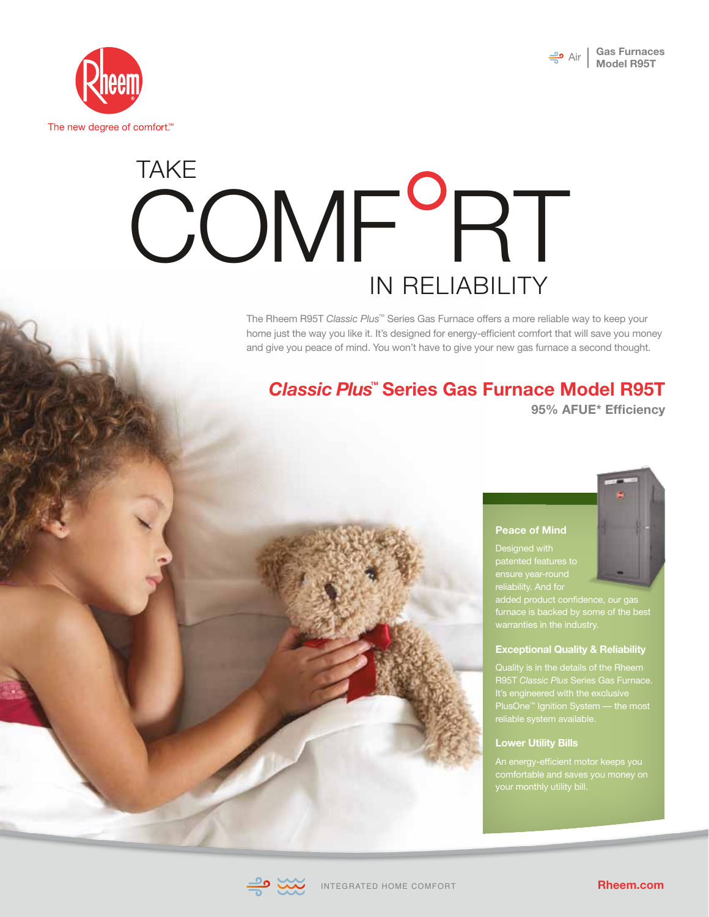



# TAKE COMF<sup>o</sup>RT IN RELIABILITY

The Rheem R95T *Classic Plus*™ Series Gas Furnace offers a more reliable way to keep your home just the way you like it. It's designed for energy-efficient comfort that will save you money and give you peace of mind. You won't have to give your new gas furnace a second thought.

## *Classic Plus™*  **Series Gas Furnace Model R95T**

**95% AFUE\* Efficiency**

#### **Peace of Mind**

Designed with patented features to reliability. And for

#### **Exceptional Quality & Reliability**

PlusOne™ Ignition System — the most

#### **Lower Utility Bills**

An energy-efficient motor keeps you